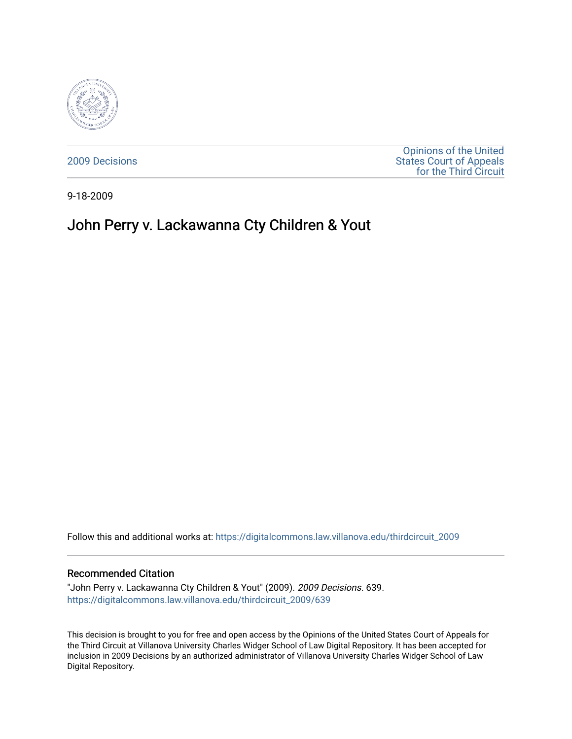

[2009 Decisions](https://digitalcommons.law.villanova.edu/thirdcircuit_2009)

[Opinions of the United](https://digitalcommons.law.villanova.edu/thirdcircuit)  [States Court of Appeals](https://digitalcommons.law.villanova.edu/thirdcircuit)  [for the Third Circuit](https://digitalcommons.law.villanova.edu/thirdcircuit) 

9-18-2009

# John Perry v. Lackawanna Cty Children & Yout

Follow this and additional works at: [https://digitalcommons.law.villanova.edu/thirdcircuit\\_2009](https://digitalcommons.law.villanova.edu/thirdcircuit_2009?utm_source=digitalcommons.law.villanova.edu%2Fthirdcircuit_2009%2F639&utm_medium=PDF&utm_campaign=PDFCoverPages) 

### Recommended Citation

"John Perry v. Lackawanna Cty Children & Yout" (2009). 2009 Decisions. 639. [https://digitalcommons.law.villanova.edu/thirdcircuit\\_2009/639](https://digitalcommons.law.villanova.edu/thirdcircuit_2009/639?utm_source=digitalcommons.law.villanova.edu%2Fthirdcircuit_2009%2F639&utm_medium=PDF&utm_campaign=PDFCoverPages)

This decision is brought to you for free and open access by the Opinions of the United States Court of Appeals for the Third Circuit at Villanova University Charles Widger School of Law Digital Repository. It has been accepted for inclusion in 2009 Decisions by an authorized administrator of Villanova University Charles Widger School of Law Digital Repository.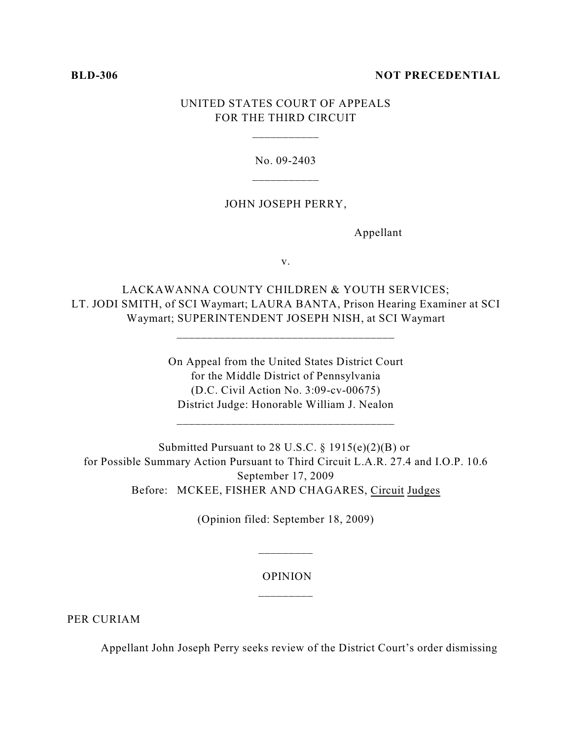# **BLD-306** NOT PRECEDENTIAL

# UNITED STATES COURT OF APPEALS FOR THE THIRD CIRCUIT

\_\_\_\_\_\_\_\_\_\_\_

No. 09-2403

# JOHN JOSEPH PERRY,

Appellant

v.

LACKAWANNA COUNTY CHILDREN & YOUTH SERVICES; LT. JODI SMITH, of SCI Waymart; LAURA BANTA, Prison Hearing Examiner at SCI Waymart; SUPERINTENDENT JOSEPH NISH, at SCI Waymart

\_\_\_\_\_\_\_\_\_\_\_\_\_\_\_\_\_\_\_\_\_\_\_\_\_\_\_\_\_\_\_\_\_\_\_\_

On Appeal from the United States District Court for the Middle District of Pennsylvania (D.C. Civil Action No. 3:09-cv-00675) District Judge: Honorable William J. Nealon

Submitted Pursuant to 28 U.S.C.  $\S 1915(e)(2)(B)$  or for Possible Summary Action Pursuant to Third Circuit L.A.R. 27.4 and I.O.P. 10.6 September 17, 2009 Before: MCKEE, FISHER AND CHAGARES, Circuit Judges

(Opinion filed: September 18, 2009)

\_\_\_\_\_\_\_\_\_

# OPINION \_\_\_\_\_\_\_\_\_

PER CURIAM

Appellant John Joseph Perry seeks review of the District Court's order dismissing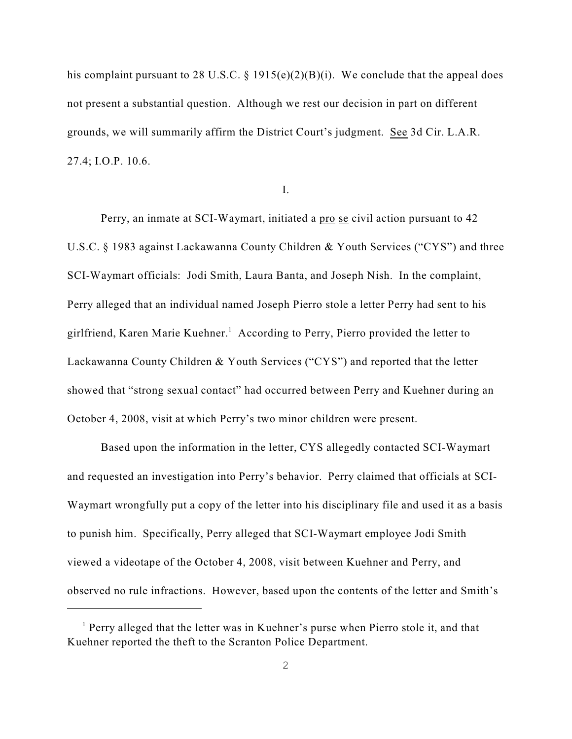his complaint pursuant to 28 U.S.C. § 1915(e)(2)(B)(i). We conclude that the appeal does not present a substantial question. Although we rest our decision in part on different grounds, we will summarily affirm the District Court's judgment. See 3d Cir. L.A.R. 27.4; I.O.P. 10.6.

I.

Perry, an inmate at SCI-Waymart, initiated a pro se civil action pursuant to 42 U.S.C. § 1983 against Lackawanna County Children & Youth Services ("CYS") and three SCI-Waymart officials: Jodi Smith, Laura Banta, and Joseph Nish. In the complaint, Perry alleged that an individual named Joseph Pierro stole a letter Perry had sent to his girlfriend, Karen Marie Kuehner.<sup>1</sup> According to Perry, Pierro provided the letter to Lackawanna County Children & Youth Services ("CYS") and reported that the letter showed that "strong sexual contact" had occurred between Perry and Kuehner during an October 4, 2008, visit at which Perry's two minor children were present.

Based upon the information in the letter, CYS allegedly contacted SCI-Waymart and requested an investigation into Perry's behavior. Perry claimed that officials at SCI-Waymart wrongfully put a copy of the letter into his disciplinary file and used it as a basis to punish him. Specifically, Perry alleged that SCI-Waymart employee Jodi Smith viewed a videotape of the October 4, 2008, visit between Kuehner and Perry, and observed no rule infractions. However, based upon the contents of the letter and Smith's

 $<sup>1</sup>$  Perry alleged that the letter was in Kuehner's purse when Pierro stole it, and that</sup> Kuehner reported the theft to the Scranton Police Department.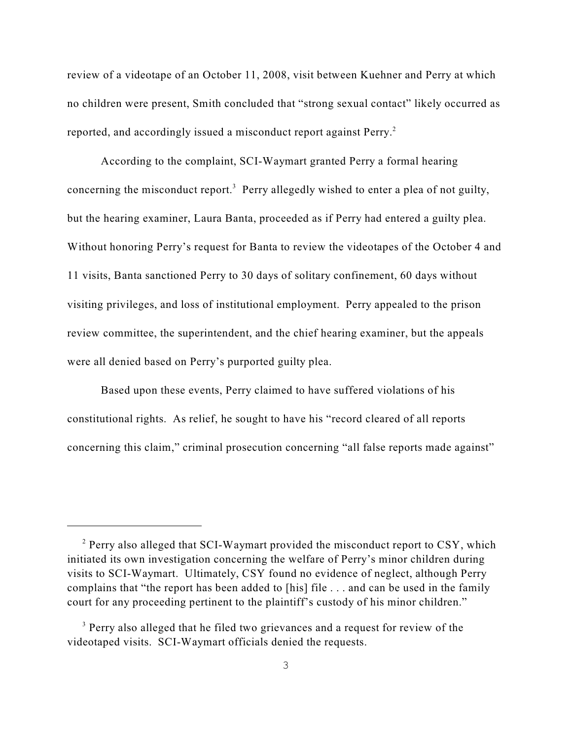review of a videotape of an October 11, 2008, visit between Kuehner and Perry at which no children were present, Smith concluded that "strong sexual contact" likely occurred as reported, and accordingly issued a misconduct report against Perry.<sup>2</sup>

According to the complaint, SCI-Waymart granted Perry a formal hearing concerning the misconduct report.<sup>3</sup> Perry allegedly wished to enter a plea of not guilty, but the hearing examiner, Laura Banta, proceeded as if Perry had entered a guilty plea. Without honoring Perry's request for Banta to review the videotapes of the October 4 and 11 visits, Banta sanctioned Perry to 30 days of solitary confinement, 60 days without visiting privileges, and loss of institutional employment. Perry appealed to the prison review committee, the superintendent, and the chief hearing examiner, but the appeals were all denied based on Perry's purported guilty plea.

Based upon these events, Perry claimed to have suffered violations of his constitutional rights. As relief, he sought to have his "record cleared of all reports concerning this claim," criminal prosecution concerning "all false reports made against"

<sup>&</sup>lt;sup>2</sup> Perry also alleged that SCI-Waymart provided the misconduct report to CSY, which initiated its own investigation concerning the welfare of Perry's minor children during visits to SCI-Waymart. Ultimately, CSY found no evidence of neglect, although Perry complains that "the report has been added to [his] file . . . and can be used in the family court for any proceeding pertinent to the plaintiff's custody of his minor children."

<sup>&</sup>lt;sup>3</sup> Perry also alleged that he filed two grievances and a request for review of the videotaped visits. SCI-Waymart officials denied the requests.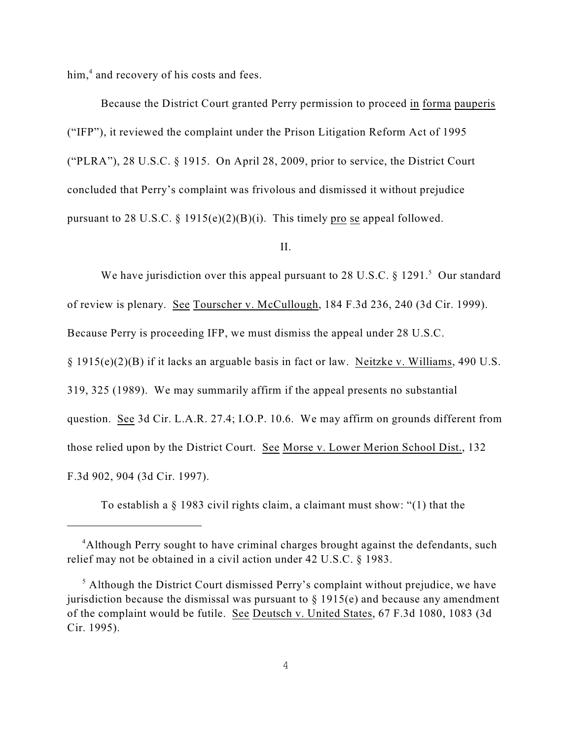$him<sub>1</sub><sup>4</sup>$  and recovery of his costs and fees.

Because the District Court granted Perry permission to proceed in forma pauperis ("IFP"), it reviewed the complaint under the Prison Litigation Reform Act of 1995 ("PLRA"), 28 U.S.C. § 1915. On April 28, 2009, prior to service, the District Court concluded that Perry's complaint was frivolous and dismissed it without prejudice pursuant to 28 U.S.C. § 1915(e)(2)(B)(i). This timely pro se appeal followed.

II.

We have jurisdiction over this appeal pursuant to 28 U.S.C.  $\S 1291$ <sup>5</sup> Our standard of review is plenary. See Tourscher v. McCullough, 184 F.3d 236, 240 (3d Cir. 1999). Because Perry is proceeding IFP, we must dismiss the appeal under 28 U.S.C. § 1915(e)(2)(B) if it lacks an arguable basis in fact or law. Neitzke v. Williams, 490 U.S. 319, 325 (1989). We may summarily affirm if the appeal presents no substantial question. See 3d Cir. L.A.R. 27.4; I.O.P. 10.6. We may affirm on grounds different from those relied upon by the District Court. See Morse v. Lower Merion School Dist., 132 F.3d 902, 904 (3d Cir. 1997).

To establish a § 1983 civil rights claim, a claimant must show: "(1) that the

<sup>&</sup>lt;sup>4</sup>Although Perry sought to have criminal charges brought against the defendants, such relief may not be obtained in a civil action under 42 U.S.C. § 1983.

 $<sup>5</sup>$  Although the District Court dismissed Perry's complaint without prejudice, we have</sup> jurisdiction because the dismissal was pursuant to  $\S$  1915(e) and because any amendment of the complaint would be futile. See Deutsch v. United States, 67 F.3d 1080, 1083 (3d Cir. 1995).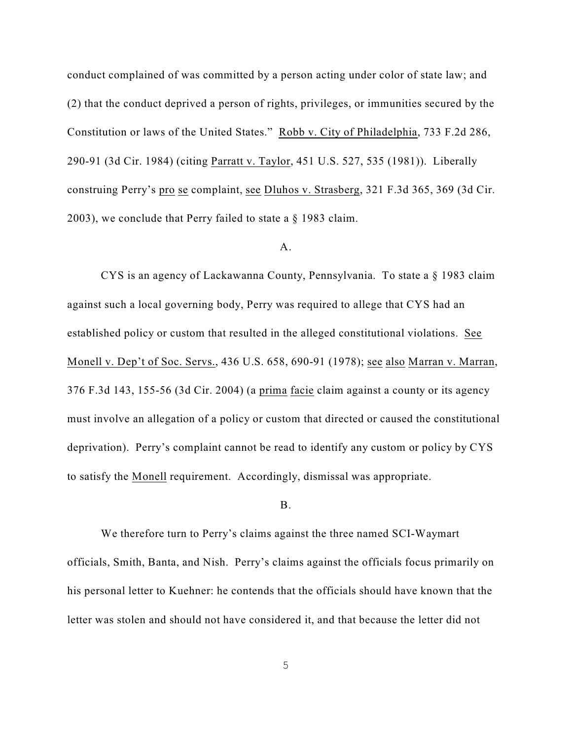conduct complained of was committed by a person acting under color of state law; and (2) that the conduct deprived a person of rights, privileges, or immunities secured by the Constitution or laws of the United States." Robb v. City of Philadelphia, 733 F.2d 286, 290-91 (3d Cir. 1984) (citing Parratt v. Taylor, 451 U.S. 527, 535 (1981)). Liberally construing Perry's pro se complaint, see Dluhos v. Strasberg, 321 F.3d 365, 369 (3d Cir. 2003), we conclude that Perry failed to state a § 1983 claim.

# A.

CYS is an agency of Lackawanna County, Pennsylvania. To state a § 1983 claim against such a local governing body, Perry was required to allege that CYS had an established policy or custom that resulted in the alleged constitutional violations. See Monell v. Dep't of Soc. Servs., 436 U.S. 658, 690-91 (1978); see also Marran v. Marran, 376 F.3d 143, 155-56 (3d Cir. 2004) (a prima facie claim against a county or its agency must involve an allegation of a policy or custom that directed or caused the constitutional deprivation). Perry's complaint cannot be read to identify any custom or policy by CYS to satisfy the Monell requirement. Accordingly, dismissal was appropriate.

### B.

We therefore turn to Perry's claims against the three named SCI-Waymart officials, Smith, Banta, and Nish. Perry's claims against the officials focus primarily on his personal letter to Kuehner: he contends that the officials should have known that the letter was stolen and should not have considered it, and that because the letter did not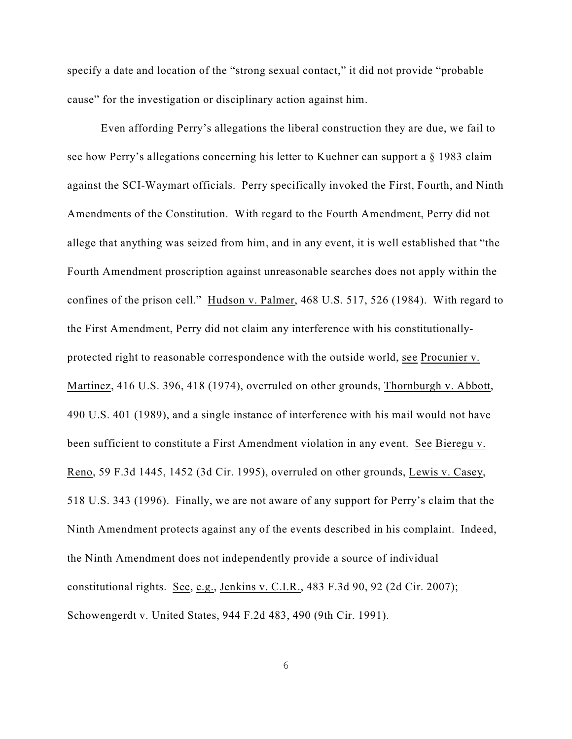specify a date and location of the "strong sexual contact," it did not provide "probable cause" for the investigation or disciplinary action against him.

Even affording Perry's allegations the liberal construction they are due, we fail to see how Perry's allegations concerning his letter to Kuehner can support a § 1983 claim against the SCI-Waymart officials. Perry specifically invoked the First, Fourth, and Ninth Amendments of the Constitution. With regard to the Fourth Amendment, Perry did not allege that anything was seized from him, and in any event, it is well established that "the Fourth Amendment proscription against unreasonable searches does not apply within the confines of the prison cell." Hudson v. Palmer, 468 U.S. 517, 526 (1984). With regard to the First Amendment, Perry did not claim any interference with his constitutionallyprotected right to reasonable correspondence with the outside world, see Procunier v. Martinez, 416 U.S. 396, 418 (1974), overruled on other grounds, Thornburgh v. Abbott, 490 U.S. 401 (1989), and a single instance of interference with his mail would not have been sufficient to constitute a First Amendment violation in any event. See Bieregu v. Reno, 59 F.3d 1445, 1452 (3d Cir. 1995), overruled on other grounds, Lewis v. Casey, 518 U.S. 343 (1996). Finally, we are not aware of any support for Perry's claim that the Ninth Amendment protects against any of the events described in his complaint. Indeed, the Ninth Amendment does not independently provide a source of individual constitutional rights. See, e.g., Jenkins v. C.I.R., 483 F.3d 90, 92 (2d Cir. 2007); Schowengerdt v. United States, 944 F.2d 483, 490 (9th Cir. 1991).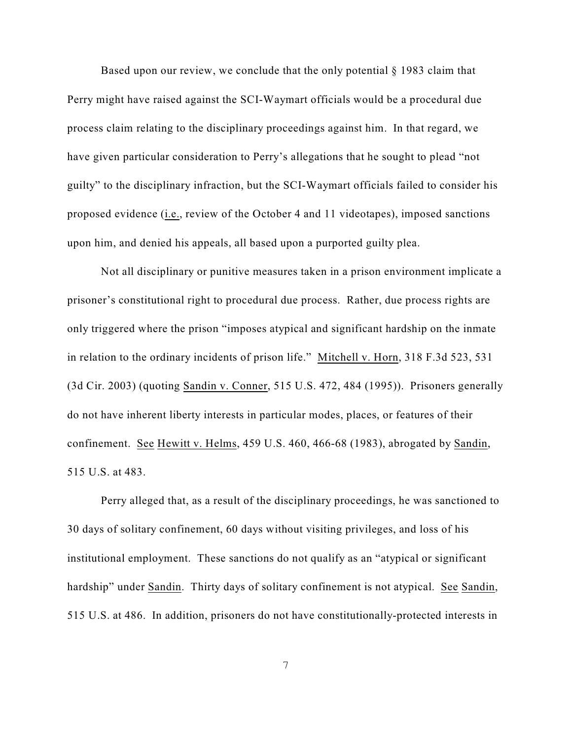Based upon our review, we conclude that the only potential § 1983 claim that Perry might have raised against the SCI-Waymart officials would be a procedural due process claim relating to the disciplinary proceedings against him. In that regard, we have given particular consideration to Perry's allegations that he sought to plead "not guilty" to the disciplinary infraction, but the SCI-Waymart officials failed to consider his proposed evidence (i.e., review of the October 4 and 11 videotapes), imposed sanctions upon him, and denied his appeals, all based upon a purported guilty plea.

Not all disciplinary or punitive measures taken in a prison environment implicate a prisoner's constitutional right to procedural due process. Rather, due process rights are only triggered where the prison "imposes atypical and significant hardship on the inmate in relation to the ordinary incidents of prison life." Mitchell v. Horn, 318 F.3d 523, 531 (3d Cir. 2003) (quoting Sandin v. Conner, 515 U.S. 472, 484 (1995)). Prisoners generally do not have inherent liberty interests in particular modes, places, or features of their confinement. See Hewitt v. Helms, 459 U.S. 460, 466-68 (1983), abrogated by Sandin, 515 U.S. at 483.

Perry alleged that, as a result of the disciplinary proceedings, he was sanctioned to 30 days of solitary confinement, 60 days without visiting privileges, and loss of his institutional employment. These sanctions do not qualify as an "atypical or significant hardship" under Sandin. Thirty days of solitary confinement is not atypical. See Sandin, 515 U.S. at 486. In addition, prisoners do not have constitutionally-protected interests in